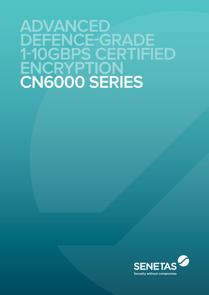# **ADVANCED DEFENCE-GRADE 1-10GBPS certified ENCRYPTION CN6000 Series**

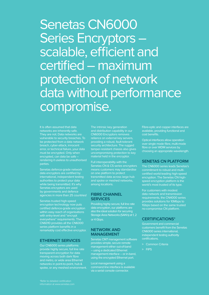Senetas CN6000 Series Encryptors – scalable, efficient and certified – maximum protection of network data without performance compromise.

It is often assumed that data networks are inherently safe. They are not. Data networks are vulnerable to security breaches. To breach, cyber-attack, innocent error, or technical failure, your data must be encrypted. Only when encrypted, can data be safe – rendering it useless to unauthorised parties.

Senetas defence-grade network data encryptors are certified by international, independent testing authorities to protect your data while being transmitted. It's why Senetas encryptors are used by governments and defence agencies in more than 25 countries!

Senetas trusted high-speed certified defence-grade encryption within easy reach of organisations with entry-level and "encrypt everywhere" requirements. The CN6010 provides all the CN6000 series platform benefits in a remarkably cost effective encryptor.

#### **ETHERNET SERVICES**

Our CN6000 series platforms provide highly secure, full line rate transparent encryption for data moving across both dark fibre networks in point-to-point, hub & spoke, or any meshed environment.

The intrinsic key generation and distribution capability in our CN6000 Encryptors removes reliance on external key servers, providing a robust, fault-tolerant security architecture. The rugged tamper-resistant chassis also gives uncompromising protection to key material held in the encryptor.

Full interoperability with the Senetas CN & CS series encryptors transmitted data across large hub and spoke or meshed networks, among locations.

#### **FIBRE CHANNEL SERVICES**

Providing highly secure, full line rate data encryption, our platforms are also the ideal solution for securing Storage Area Networks (SAN's) at 1, 2 or 4 Gbps.

#### **NETWORK AND MANAGEMENT**

Senetas CM7 management software provides simple, secure remote management either out-of-band – using a dedicated Ethernet management interface – or in-band, using the encrypted Ethernet port.

Local management using a command line interface is available via a serial console connector.

Fibre-optic and copper interfaces are available, providing functional and cost benefits.

Optical interfaces allow operation over single mode fibre, multi-mode fibre or over WDM services by choosing an appropriate wavelength.

#### **senetas cn platform**

The CN6000 series leads Senetas's certified world-leading high-speed encryption. The Senetas CN highspeed encryption platform is the world's most trusted of its type.

data network and transmission requirements, the CN4000 series provides solutions for 10Mbps to 1Gbps based on the same trusted no-compromise CN platform.

#### **certifications\***

customers benefit from the Senetas CN6000 series international, independent testing authority certifications.

**>** Common Criteria

**>** FIPS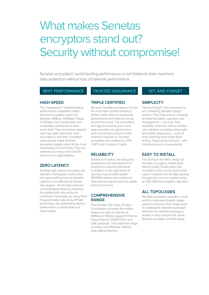## What makes Senetas encryptors stand out? Security without compromise!

Senetas encryptors' world leading performance is not limited to their maximum data protection without loss of network performance.

### **BEST PERFORMANCE TRUSTED ASSURANCE SET AND FORGET**

#### **High-Speed**

The "designed-in" market-leading performance capabilities make Senetas encryptors stand out. Whether 10Mbps, 100Mbps, 1Gbps or 10Gbps, they hands-down win competitive performance tests every time! Their encryption speeds; near-zero data overhead; near-

#### **ZERO LATENCY**

Senetas high-speed encryptors are operate in full-duplex mode at full line speed without loss of packets. Latency is not affected by packet size (approx. >4 microseconds per unit at 10Gbps) meaning maximum throughput with zero protocol overhead. Importantly, by using Field Programmable Gate Array (FPGA) technology, this outstanding latency performance is predictable and dependable.

#### **TRIPLE CERTIFIED**

Because Senetas encryptors include the only triple-certified products of their types, they are trusted by governments and defence forces around the world. This exhaustive and rigorous testing over many years provides our government and commercial customers with maximum assurance. Senetas encryptors are certified by: FIPS, CAPS and Common Criteria.

Senetas encryptors are designed, developed and manufactured in Australia to exacting standards. In addition to the high levels of security, they provide reliable 99.999% uptime and conform to international requirements for safety and environment.

#### **COMPREHENSIVE RANGE**

The Senetas CN range of Layer 2 encryptors provides the widest feature-set able to operate at 10Mbps to 10Gbps support Ethernet, Fibre Channel; SONET/SDH and LINK protocols. This extensive range provides cost-effective networkwide data protection.

#### **SIMPLICITY**

"Set and forget" and transparency are underlying Senetas design themes. They help ensure simplicity of implementation, operation and management – low cost. That simplicity continues with an intuitive user interface providing meaningful descriptive diagnostics – such as early warnings and simple faultfinding. They just do their job – with minimal resource requirements.

#### **EASY TO INSTALL**

The 'Bump in the Wire' design of Senetas encryptors makes them easy to install. Simply place the encryptor at the access point to the Layer 2 network and all data passing through the unit is encrypted using an AES 256 bit encryption algorithm.

#### **ALL TOPOLOGIES**

Senetas encryptors operate in multipoint to multi-point (mesh); singlepoint to multi-point and single-point to single-point network topologies. Whether the network topology is simple or very complex the same Senetas encryptor benefits apply.

zero latency; and their consistent performance make Senetas encryptors ideally suited to the most demanding environments. They are preferred by many of the world's most secure organisations.

**RELIABILITY**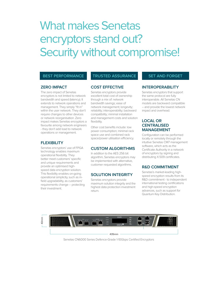## What makes Senetas encryptors stand out? Security without compromise!

#### **BEST PERFORMANCE TRUSTED ASSURANCE SET AND FORGET**

#### **ZERO IMPACT**

The zero impact of Senetas encryptors is not limited to network bandwidth and speed (latency). It extends to network operations and management. They simply "fit in" within the user network. They don't require changes to other devices or network reorganisation. Zero impact makes Senetas encryptors a favourite among network engineers - they don't add load to network operations or management.

#### **FLEXIBILITY**

Senetas encryptors' use of FPGA technology enables maximum operational flexibility. They better meet customers' specific and unique requirements and provide an optimised highspeed data encryption solution. This flexibility enables on-going operational simplicity, such as infield upgradability, as customers' requirements change – protecting their investment.

#### **COST EFFECTIVE**

Senetas encryptors provide excellent total cost of ownership through a mix of: network bandwidth savings; ease of network management; longevity; reliability; interoperability; backward compatibility; minimal installation and management costs and solution flexibility.

Other cost benefits include: low power consumption; minimal rack space use and combined rack space/power utilisation efficiency.

### **CUSTOM ALGORITHMS**

In addition to the AES 256 bit algorithm, Senetas encryptors may be implemented with alternative, customer requested algorithms.

#### **SOLUTION INTEGRITY**

Senetas encryptors provide maximum solution integrity and the highest data protection investment return.

#### **INTEROPERABILITY**

Senetas encryptors that support the same protocol are fully interoperable. All Senetas CN models are backward compatible – and provide the lowest network impact and overhead.

### **LOCAL OR CENTRALISED MANAGEMENT**

Configuration can be performed locally or remotely through the intuitive Senetas CM7 management software, which acts as the Certificate Authority in a network of encryptors by signing and distributing X.509 certificates.

#### **R&D commitment**

Senetas's market-leading highspeed encryption results from its R&D commitment - to independent international testing certifications and high-speed encryption advances, such as support for Quantum Key Distribution.



Senetas CN6000 Series Defence-Grade 1-10Gbps Certified Encryptors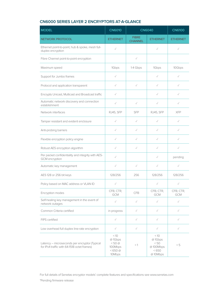## **CN6000 SERIES layer 2 ENCRYPTORS AT-A-GLANCE**

| <b>MODEL</b>                                                                                 | <b>CN6010</b>                                                           | <b>CN6040</b>                  |                                                         | <b>CN6100</b>    |
|----------------------------------------------------------------------------------------------|-------------------------------------------------------------------------|--------------------------------|---------------------------------------------------------|------------------|
| <b>NETWORK PROTOCOL</b>                                                                      | <b>ETHERNET</b>                                                         | <b>FIBRE</b><br><b>CHANNEL</b> | <b>ETHERNET</b>                                         | <b>ETHERNET</b>  |
| Ethernet point-to-point, hub & spoke, mesh full-<br>duplex encryption                        | $\checkmark$                                                            |                                | $\checkmark$                                            | $\checkmark$     |
| Fibre Channel point-to-point encryption                                                      |                                                                         | $\checkmark$                   |                                                         |                  |
| Maximum speed                                                                                | 1Gbps                                                                   | 1-4 Gbps                       | 1Gbps                                                   | 10Gbps           |
| Support for Jumbo frames                                                                     | $\checkmark$                                                            |                                | $\checkmark$                                            | $\checkmark$     |
| Protocol and application transparent                                                         | $\checkmark$                                                            | $\checkmark$                   | $\checkmark$                                            | $\checkmark$     |
| Encrypts Unicast, Multicast and Broadcast traffic                                            | $\checkmark$                                                            |                                | $\checkmark$                                            | $\checkmark$     |
| Automatic network discovery and connection<br>establishment                                  | $\checkmark$                                                            | $\checkmark$                   | $\checkmark$                                            | $\checkmark$     |
| Network interfaces                                                                           | RJ45, SFP                                                               | <b>SFP</b>                     | RJ45, SFP                                               | <b>XFP</b>       |
| Tamper resistant and evident enclosure                                                       | $\checkmark$                                                            | $\checkmark$                   | $\checkmark$                                            | $\checkmark$     |
| Anti-probing barriers                                                                        | $\checkmark$                                                            | $\checkmark$                   | $\checkmark$                                            | $\checkmark$     |
| Flexible encryption policy engine                                                            | $\checkmark$                                                            | $\checkmark$                   | $\checkmark$                                            | $\checkmark$     |
| Robust AES encryption algorithm                                                              | $\checkmark$                                                            | $\checkmark$                   | $\checkmark$                                            | $\checkmark$     |
| Per packet confidentiality and integrity with AES-<br>GCM encryption                         | $\checkmark$                                                            |                                | $\checkmark$                                            | pending          |
| Automatic key management                                                                     | $\checkmark$                                                            | $\checkmark$                   | $\checkmark$                                            | $\checkmark$     |
| AES 128 or 256 bit keys                                                                      | 128/256                                                                 | 256                            | 128/256                                                 | 128/256          |
| Policy based on MAC address or VLAN ID                                                       | $\checkmark$                                                            |                                | $\checkmark$                                            | $\checkmark$     |
| Encryption modes                                                                             | CFB, CTR,<br><b>GCM</b>                                                 | <b>CFB</b>                     | CFB, CTR,<br>GCM                                        | CFB, CTR,<br>GCM |
| Self-healing key management in the event of<br>network outages                               | $\checkmark$                                                            | $\checkmark$                   | $\checkmark$                                            | $\checkmark$     |
| Common Criteria certified                                                                    | in progress                                                             | $\checkmark$                   | $\checkmark$                                            | $\checkmark$     |
| FIPS certified                                                                               | $\checkmark$                                                            | $\checkmark$                   | $\checkmark$                                            | $\checkmark$     |
| Low overhead full duplex line-rate encryption                                                | $\checkmark$                                                            | $\checkmark$                   | $\checkmark$                                            | $\checkmark$     |
| Latency - microseconds per encryptor (Typical<br>for IPv4 traffic with 64-1518 octet frames) | $<10$<br>@1Gbps<br>$<$ 50 $@$<br>100Mbps<br>$< 650 \text{ @}$<br>10Mbps | $<$ 1                          | $<10$<br>@1Gbps<br>< 50<br>@100Mbps<br>< 650<br>@10Mbps | < 5              |

For full details of Senetas encryptor models' complete features and specifications see www.senetas.com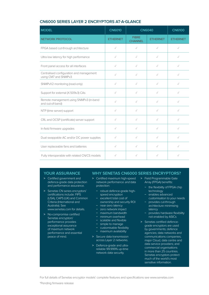| <b>MODEL</b>                                                     | <b>CN6010</b>   | <b>CN6040</b>                  |                 | <b>CN6100</b>   |
|------------------------------------------------------------------|-----------------|--------------------------------|-----------------|-----------------|
| <b>NETWORK PROTOCOL</b>                                          | <b>ETHERNET</b> | <b>FIBRE</b><br><b>CHANNEL</b> | <b>ETHERNET</b> | <b>ETHERNET</b> |
| FPGA based cut-through architecture                              | $\checkmark$    | $\checkmark$                   | $\checkmark$    | $\checkmark$    |
| Ultra low latency for high performance                           | $\checkmark$    | $\sqrt{}$                      | $\checkmark$    | $\checkmark$    |
| Front panel access for all interfaces                            | $\checkmark$    | $\checkmark$                   | $\checkmark$    | $\checkmark$    |
| Centralised configuration and management<br>using CM7 and SNMPv3 | $\checkmark$    | $\checkmark$                   | $\checkmark$    | $\checkmark$    |
| SNMPv1/2 monitoring (read-only)                                  | $\checkmark$    | $\checkmark$                   | $\checkmark$    | $\checkmark$    |
| Support for external (X.509v3) CAs                               | $\checkmark$    | $\checkmark$                   | $\checkmark$    | $\checkmark$    |
| Remote management using SNMPv3 (in-band<br>and out-of-band)      | $\checkmark$    | $\checkmark$                   | $\checkmark$    | $\checkmark$    |
| NTP (time server) support                                        | $\checkmark$    | $\checkmark$                   | $\checkmark$    | $\checkmark$    |
| CRL and OCSP (certificate) server support                        | $\sqrt{}$       | $\sqrt{}$                      | $\checkmark$    | $\checkmark$    |
| In-field firmware upgrades                                       | $\checkmark$    | $\checkmark$                   | $\checkmark$    | $\checkmark$    |
| Dual swappable AC and/or DC power supplies                       | $\checkmark$    | $\sqrt{}$                      | $\checkmark$    | $\checkmark$    |
| User replaceable fans and batteries                              | $\checkmark$    | $\checkmark$                   | $\checkmark$    | $\checkmark$    |
| Fully interoperable with related CN/CS models                    | $\checkmark$    | $\checkmark$                   | $\checkmark$    |                 |

#### **CN6000 SERIES layer 2 ENCRYPTORS AT-A-GLANCE**

#### **YOUR ASSURANCE**

- **>** Certified government and defence-grade data protection and performance assurance.
- **>** Senetas CN series encryptors' certifications include: FIPS (USA), CAPS (UK) and Common Criteria (International and Australia). See www.senetas.com for details.
- Senetas encryptors' performance provides exceptional assurance of maximum network performance and essential peace of mind.

#### **WHY SENETAS CN6000 SERIES ENCRYPTORS?**

- **>** Certified maximum high-speed **>** Field Programmable Gate network performance and data protection:
	- **−** robust defence-grade highspeed encryption
	- **−** excellent total cost of ownership and security ROI
	- **−** near-zero latency
	- **−** zero network impact
- **>** No-compromise certified **−** maximum bandwidth
	- **−** minimum overhead
	- **−** scalable and flexible
	- **−** simple to manage
	- **−** customisable flexibility
	- **−** maximum availability
	- **>** Secure data transmission across Layer 2 networks.
		- **>** Defence-grade and ultrareliable 99.999% up-time network data security.
- Array (FPGA) benefits:
	- **−** the flexibility of FPGA chip technology
	- **−** enables advanced customisation to your needs
- **−** provides cut-through architecture minimising latency
- **−** provides hardware flexibility not enabled by ASICs
- **>** Senetas certified defencegrade encryptors are used by governments; defence agencies; data networks and communications companies; major Cloud, data centre and data service providers; and commercial organisations in more than 25 countries. Senetas encryptors protect much of the world's most sensitive information.

For full details of Senetas encryptor models' complete features and specifications see www.senetas.com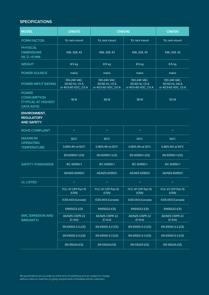## **Specifications**

| <b>MODEL</b>                                                                          | <b>CN6010</b>                                                | <b>CN6040</b>                                            | <b>CN6100</b>                                            |                                                          |
|---------------------------------------------------------------------------------------|--------------------------------------------------------------|----------------------------------------------------------|----------------------------------------------------------|----------------------------------------------------------|
| <b>FORM FACTOR</b>                                                                    | 1U, rack mount                                               | 1U, rack mount                                           | 1U, rack mount                                           | 1U, rack mount                                           |
| <b>PHYSICAL</b><br><b>DIMENSIONS</b><br>(W, D, H) MM                                  | 436, 328, 43                                                 | 436, 328, 43                                             | 436, 328, 43                                             | 436, 328, 43                                             |
| <b>WEIGHT</b>                                                                         | 8.5 kg                                                       | 8.5 kg                                                   | 8.5 kg                                                   | 8.5 kg                                                   |
| <b>POWER SOURCE</b>                                                                   | mains                                                        | mains                                                    | mains                                                    | mains                                                    |
| <b>POWER INPUT RATING</b>                                                             | 100-240 VAC,<br>$50-60$ Hz, $1.5$ A<br>or 40.5-60 VDC, 2.0 A | 100-240 VAC,<br>50-60 Hz, 1.5 A<br>or 40.5-60 VDC, 2.0 A | 100-240 VAC,<br>50-60 Hz, 1.5 A<br>or 40.5-60 VDC, 2.0 A | 100-240 VAC,<br>50-60 Hz, 0.6 A<br>or 40.5-60 VDC, 1.0 A |
| <b>POWER</b><br><b>CONSUMPTION</b><br><b>(TYPICAL AT HIGHEST</b><br><b>DATA RATE)</b> | 18 W                                                         | 38 W                                                     | 38 W                                                     | 50W                                                      |
| <b>ENVIRONMENT,</b><br><b>REGULATORY</b><br><b>AND SAFETY:</b>                        |                                                              |                                                          |                                                          |                                                          |
| <b>ROHS COMPLIANT</b>                                                                 | $\checkmark$                                                 | $\checkmark$                                             | $\checkmark$                                             | $\checkmark$                                             |
| <b>MAXIMUM</b><br><b>OPERATING</b><br><b>TEMPERATURE</b>                              | $50^{\circ}$ C                                               | $50^{\circ}$ C                                           | $50^{\circ}$ C                                           | $50^{\circ}$ C                                           |
|                                                                                       | 0-80% RH at 50°C                                             | 0-80% RH at 50°C                                         | 0-80% RH at 50°C                                         | 0-80% RH at 50°C                                         |
| <b>SAFETY STANDARDS</b>                                                               | EN 60950-1 (CE)                                              | EN 60950-1 (CE)                                          | EN 60950-1 (CE)                                          | EN 60950-1 (CE)                                          |
|                                                                                       | IEC 60950-1                                                  | IEC 60950-1                                              | IEC 60950-1                                              | IEC 60950-1                                              |
|                                                                                       | AS/NZS 60950.1                                               | AS/NZS 60950.1                                           | AS/NZS 60950.1                                           | AS/NZS 60950.1                                           |
| <b>UL LISTED</b>                                                                      | $\checkmark$                                                 | $\checkmark$                                             | $\checkmark$                                             | $\checkmark$                                             |
| <b>EMC (EMISSION AND</b><br><b>IMMUNITY)</b>                                          | FCC 47 CFP Part 15<br>(USA)                                  | FCC 47 CFP Part 15<br>(USA)                              | FCC 47 CFP Part 15<br>(USA)                              | FCC 47 CFP Part 15<br>(USA)                              |
|                                                                                       | ICES-003 (Canada)                                            | ICES-003 (Canada)                                        | ICES-003 (Canada)                                        | ICES-003 (Canada)                                        |
|                                                                                       | <b>EN55022 (CE)</b>                                          | <b>EN55022 (CE)</b>                                      | <b>EN55022 (CE)</b>                                      | <b>EN55022 (CE)</b>                                      |
|                                                                                       | <b>AS/NZS CISPR 22</b><br>$(C-tick)$                         | <b>AS/NZS CISPR 22</b><br>$(C-tick)$                     | AS/NZS CISPR 22<br>$(C-tick)$                            | <b>AS/NZS CISPR 22</b><br>$(C-tick)$                     |
|                                                                                       | EN 61000-3-2 (CE)                                            | EN 61000-3-2 (CE)                                        | EN 61000-3-2 (CE)                                        | EN 61000-3-2 (CE)                                        |
|                                                                                       | EN 61000-3-3 (CE)                                            | EN 61000-3-3 (CE)                                        | EN 61000-3-3 (CE)                                        | EN 61000-3-3 (CE)                                        |
|                                                                                       | EN 55024 (CE)                                                | EN 55024 (CE)                                            | EN 55024 (CE)                                            | EN 55024 (CE)                                            |